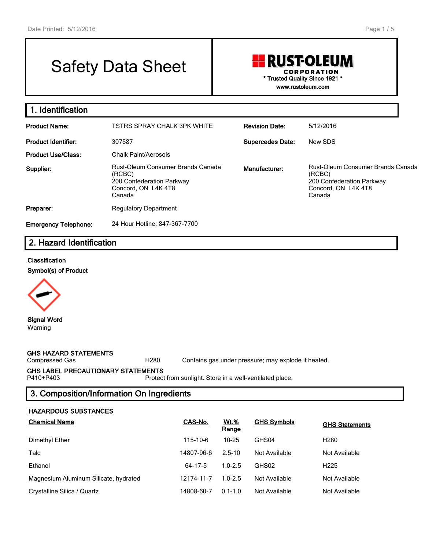# Safety Data Sheet

## **RUST-OLEUM CORPORATION \* Trusted Quality Since 1921 \* www.rustoleum.com**

**1. Identification Product Name:** TSTRS SPRAY CHALK 3PK WHITE **Revision Date:** 5/12/2016 **Product Identifier:** 307587 **Supercedes Date:** New SDS **Product Use/Class:** Chalk Paint/Aerosols **Supplier:** Rust-Oleum Consumer Brands Canada (RCBC) 200 Confederation Parkway Concord, ON L4K 4T8 Canada **Manufacturer:** Rust-Oleum Consumer Brands Canada (RCBC) 200 Confederation Parkway Concord, ON L4K 4T8 Canada **Preparer:** Regulatory Department **Emergency Telephone:** 24 Hour Hotline: 847-367-7700

## **2. Hazard Identification**

#### **Classification**

**Symbol(s) of Product**



**Signal Word** Warning

**GHS HAZARD STATEMENTS**

Compressed Gas H280 Contains gas under pressure; may explode if heated.

## **GHS LABEL PRECAUTIONARY STATEMENTS**

Protect from sunlight. Store in a well-ventilated place.

## **3. Composition/Information On Ingredients**

#### **HAZARDOUS SUBSTANCES**

| <b>Chemical Name</b>                  | CAS-No.    | <u>Wt.%</u><br>Range | <b>GHS Symbols</b> | <b>GHS Statements</b> |
|---------------------------------------|------------|----------------------|--------------------|-----------------------|
| Dimethyl Ether                        | 115-10-6   | $10 - 25$            | GHS04              | H <sub>280</sub>      |
| Talc                                  | 14807-96-6 | $2.5 - 10$           | Not Available      | Not Available         |
| Ethanol                               | 64-17-5    | $1.0 - 2.5$          | GHS02              | H <sub>225</sub>      |
| Magnesium Aluminum Silicate, hydrated | 12174-11-7 | $1.0 - 2.5$          | Not Available      | Not Available         |
| Crystalline Silica / Quartz           | 14808-60-7 | $0.1 - 1.0$          | Not Available      | Not Available         |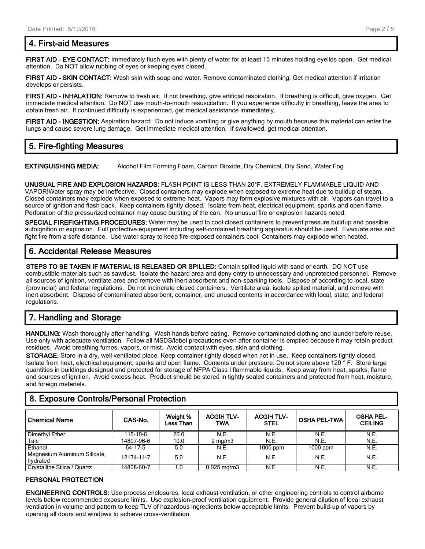## **4. First-aid Measures**

**FIRST AID - EYE CONTACT:** Immediately flush eyes with plenty of water for at least 15 minutes holding eyelids open. Get medical attention. Do NOT allow rubbing of eyes or keeping eyes closed.

**FIRST AID - SKIN CONTACT:** Wash skin with soap and water. Remove contaminated clothing. Get medical attention if irritation develops or persists.

**FIRST AID - INHALATION:** Remove to fresh air. If not breathing, give artificial respiration. If breathing is difficult, give oxygen. Get immediate medical attention. Do NOT use mouth-to-mouth resuscitation. If you experience difficulty in breathing, leave the area to obtain fresh air. If continued difficulty is experienced, get medical assistance immediately.

**FIRST AID - INGESTION:** Aspiration hazard: Do not induce vomiting or give anything by mouth because this material can enter the lungs and cause severe lung damage. Get immediate medical attention. If swallowed, get medical attention.

## **5. Fire-fighting Measures**

**EXTINGUISHING MEDIA:** Alcohol Film Forming Foam, Carbon Dioxide, Dry Chemical, Dry Sand, Water Fog

**UNUSUAL FIRE AND EXPLOSION HAZARDS:** FLASH POINT IS LESS THAN 20°F. EXTREMELY FLAMMABLE LIQUID AND VAPOR!Water spray may be ineffective. Closed containers may explode when exposed to extreme heat due to buildup of steam. Closed containers may explode when exposed to extreme heat. Vapors may form explosive mixtures with air. Vapors can travel to a source of ignition and flash back. Keep containers tightly closed. Isolate from heat, electrical equipment, sparks and open flame. Perforation of the pressurized container may cause bursting of the can. No unusual fire or explosion hazards noted.

**SPECIAL FIREFIGHTING PROCEDURES:** Water may be used to cool closed containers to prevent pressure buildup and possible autoignition or explosion. Full protective equipment including self-contained breathing apparatus should be used. Evacuate area and fight fire from a safe distance. Use water spray to keep fire-exposed containers cool. Containers may explode when heated.

## **6. Accidental Release Measures**

**STEPS TO BE TAKEN IF MATERIAL IS RELEASED OR SPILLED:** Contain spilled liquid with sand or earth. DO NOT use combustible materials such as sawdust. Isolate the hazard area and deny entry to unnecessary and unprotected personnel. Remove all sources of ignition, ventilate area and remove with inert absorbent and non-sparking tools. Dispose of according to local, state (provincial) and federal regulations. Do not incinerate closed containers. Ventilate area, isolate spilled material, and remove with inert absorbent. Dispose of contaminated absorbent, container, and unused contents in accordance with local, state, and federal regulations.

## **7. Handling and Storage**

**HANDLING:** Wash thoroughly after handling. Wash hands before eating. Remove contaminated clothing and launder before reuse. Use only with adequate ventilation. Follow all MSDS/label precautions even after container is emptied because it may retain product residues. Avoid breathing fumes, vapors, or mist. Avoid contact with eyes, skin and clothing.

**STORAGE:** Store in a dry, well ventilated place. Keep container tightly closed when not in use. Keep containers tightly closed. Isolate from heat, electrical equipment, sparks and open flame. Contents under pressure. Do not store above 120 ° F. Store large quantities in buildings designed and protected for storage of NFPA Class I flammable liquids. Keep away from heat, sparks, flame and sources of ignition. Avoid excess heat. Product should be stored in tightly sealed containers and protected from heat, moisture, and foreign materials.

## **8. Exposure Controls/Personal Protection**

| <b>Chemical Name</b>                     | CAS-No.    | Weight %<br><b>Less Than</b> | <b>ACGIH TLV-</b><br><b>TWA</b> | <b>ACGIH TLV-</b><br><b>STEL</b> | <b>OSHA PEL-TWA</b> | <b>OSHA PEL-</b><br><b>CEILING</b> |
|------------------------------------------|------------|------------------------------|---------------------------------|----------------------------------|---------------------|------------------------------------|
| Dimethyl Ether                           | 115-10-6   | 25.0                         | N.E.                            | N.E.                             | N.E.                | N.E.                               |
| Talc                                     | 14807-96-6 | 10.0                         | $2 \text{ mg/m}$                | N.E.                             | N.E.                | N.E.                               |
| Ethanol                                  | 64-17-5    | 5.0                          | N.E.                            | $1000$ ppm                       | $1000$ ppm          | N.E.                               |
| Magnesium Aluminum Silicate,<br>hvdrated | 12174-11-7 | 5.0                          | N.E.                            | N.E.                             | N.E.                | N.E.                               |
| Crystalline Silica / Quartz              | 14808-60-7 | 1.0                          | $0.025$ mg/m $3$                | N.E.                             | N.E.                | N.E.                               |

#### **PERSONAL PROTECTION**

**ENGINEERING CONTROLS:** Use process enclosures, local exhaust ventilation, or other engineering controls to control airborne levels below recommended exposure limits. Use explosion-proof ventilation equipment. Provide general dilution of local exhaust ventilation in volume and pattern to keep TLV of hazardous ingredients below acceptable limits. Prevent build-up of vapors by opening all doors and windows to achieve cross-ventilation.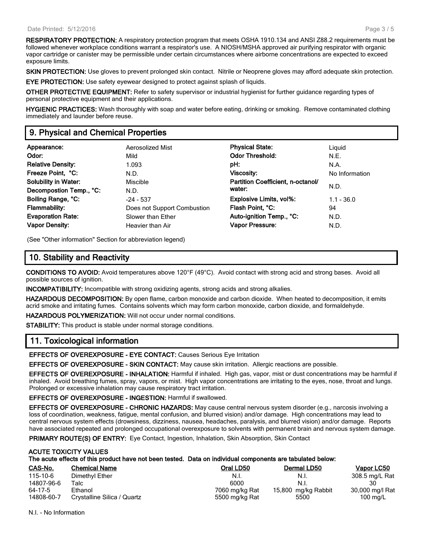**RESPIRATORY PROTECTION:** A respiratory protection program that meets OSHA 1910.134 and ANSI Z88.2 requirements must be followed whenever workplace conditions warrant a respirator's use. A NIOSH/MSHA approved air purifying respirator with organic vapor cartridge or canister may be permissible under certain circumstances where airborne concentrations are expected to exceed exposure limits.

**SKIN PROTECTION:** Use gloves to prevent prolonged skin contact. Nitrile or Neoprene gloves may afford adequate skin protection.

**EYE PROTECTION:** Use safety eyewear designed to protect against splash of liquids.

**OTHER PROTECTIVE EQUIPMENT:** Refer to safety supervisor or industrial hygienist for further guidance regarding types of personal protective equipment and their applications.

**HYGIENIC PRACTICES:** Wash thoroughly with soap and water before eating, drinking or smoking. Remove contaminated clothing immediately and launder before reuse.

## **9. Physical and Chemical Properties**

| Appearance:                 | Aerosolized Mist            | <b>Physical State:</b>            | Liguid         |  |
|-----------------------------|-----------------------------|-----------------------------------|----------------|--|
| Odor:                       | Mild                        | <b>Odor Threshold:</b>            | N.E.           |  |
| <b>Relative Density:</b>    | 1.093                       | pH:                               | N.A.           |  |
| Freeze Point, °C:           | N.D.                        | <b>Viscosity:</b>                 | No Information |  |
| <b>Solubility in Water:</b> | Miscible                    | Partition Coefficient, n-octanol/ |                |  |
| Decompostion Temp., °C:     | N.D.                        | water:                            | N.D.           |  |
| Boiling Range, °C:          | $-24 - 537$                 | Explosive Limits, vol%:           | $1.1 - 36.0$   |  |
| <b>Flammability:</b>        | Does not Support Combustion | Flash Point, °C:                  | 94             |  |
| <b>Evaporation Rate:</b>    | Slower than Ether           | Auto-ignition Temp., °C:          | N.D.           |  |
| <b>Vapor Density:</b>       | Heavier than Air            | Vapor Pressure:                   | N.D.           |  |

(See "Other information" Section for abbreviation legend)

## **10. Stability and Reactivity**

**CONDITIONS TO AVOID:** Avoid temperatures above 120°F (49°C). Avoid contact with strong acid and strong bases. Avoid all possible sources of ignition.

**INCOMPATIBILITY:** Incompatible with strong oxidizing agents, strong acids and strong alkalies.

**HAZARDOUS DECOMPOSITION:** By open flame, carbon monoxide and carbon dioxide. When heated to decomposition, it emits acrid smoke and irritating fumes. Contains solvents which may form carbon monoxide, carbon dioxide, and formaldehyde.

**HAZARDOUS POLYMERIZATION:** Will not occur under normal conditions.

**STABILITY:** This product is stable under normal storage conditions.

## **11. Toxicological information**

**EFFECTS OF OVEREXPOSURE - EYE CONTACT:** Causes Serious Eye Irritation

**EFFECTS OF OVEREXPOSURE - SKIN CONTACT:** May cause skin irritation. Allergic reactions are possible.

**EFFECTS OF OVEREXPOSURE - INHALATION:** Harmful if inhaled. High gas, vapor, mist or dust concentrations may be harmful if inhaled. Avoid breathing fumes, spray, vapors, or mist. High vapor concentrations are irritating to the eyes, nose, throat and lungs. Prolonged or excessive inhalation may cause respiratory tract irritation.

**EFFECTS OF OVEREXPOSURE - INGESTION:** Harmful if swallowed.

**EFFECTS OF OVEREXPOSURE - CHRONIC HAZARDS:** May cause central nervous system disorder (e.g., narcosis involving a loss of coordination, weakness, fatigue, mental confusion, and blurred vision) and/or damage. High concentrations may lead to central nervous system effects (drowsiness, dizziness, nausea, headaches, paralysis, and blurred vision) and/or damage. Reports have associated repeated and prolonged occupational overexposure to solvents with permanent brain and nervous system damage.

**PRIMARY ROUTE(S) OF ENTRY:** Eye Contact, Ingestion, Inhalation, Skin Absorption, Skin Contact

#### **ACUTE TOXICITY VALUES**

**The acute effects of this product have not been tested. Data on individual components are tabulated below:**

| CAS-No.    | <b>Chemical Name</b>        | Oral LD50      | Dermal LD50         | Vapor LC50         |
|------------|-----------------------------|----------------|---------------------|--------------------|
| 115-10-6   | Dimethyl Ether              | N.I.           | N.I.                | 308.5 mg/L Rat     |
| 14807-96-6 | Talc.                       | 6000           | N.I.                |                    |
| 64-17-5    | Ethanol                     | 7060 mg/kg Rat | 15,800 mg/kg Rabbit | 30,000 mg/l Rat    |
| 14808-60-7 | Crystalline Silica / Quartz | 5500 mg/kg Rat | 5500                | $100 \text{ mg/L}$ |

N.I. - No Information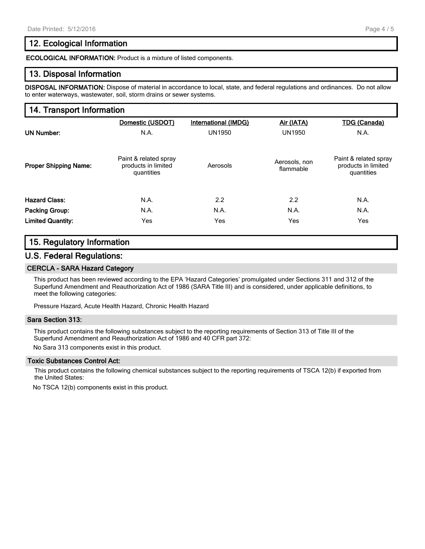## **12. Ecological Information**

**ECOLOGICAL INFORMATION:** Product is a mixture of listed components.

#### **13. Disposal Information**

**DISPOSAL INFORMATION:** Dispose of material in accordance to local, state, and federal regulations and ordinances. Do not allow to enter waterways, wastewater, soil, storm drains or sewer systems.

#### **14. Transport Information**

|                              | Domestic (USDOT)                                           | International (IMDG) | Air (IATA)                 | <b>TDG (Canada)</b>                                        |
|------------------------------|------------------------------------------------------------|----------------------|----------------------------|------------------------------------------------------------|
| <b>UN Number:</b>            | N.A.                                                       | <b>UN1950</b>        | <b>UN1950</b>              | N.A.                                                       |
| <b>Proper Shipping Name:</b> | Paint & related spray<br>products in limited<br>quantities | Aerosols             | Aerosols, non<br>flammable | Paint & related spray<br>products in limited<br>quantities |
| <b>Hazard Class:</b>         | N.A.                                                       | 2.2                  | 2.2                        | N.A.                                                       |
| Packing Group:               | N.A.                                                       | N.A.                 | N.A.                       | N.A.                                                       |
| <b>Limited Quantity:</b>     | Yes                                                        | Yes                  | Yes                        | Yes                                                        |

## **15. Regulatory Information**

#### **U.S. Federal Regulations:**

#### **CERCLA - SARA Hazard Category**

This product has been reviewed according to the EPA 'Hazard Categories' promulgated under Sections 311 and 312 of the Superfund Amendment and Reauthorization Act of 1986 (SARA Title III) and is considered, under applicable definitions, to meet the following categories:

Pressure Hazard, Acute Health Hazard, Chronic Health Hazard

#### **Sara Section 313:**

This product contains the following substances subject to the reporting requirements of Section 313 of Title III of the Superfund Amendment and Reauthorization Act of 1986 and 40 CFR part 372:

No Sara 313 components exist in this product.

#### **Toxic Substances Control Act:**

This product contains the following chemical substances subject to the reporting requirements of TSCA 12(b) if exported from the United States:

No TSCA 12(b) components exist in this product.